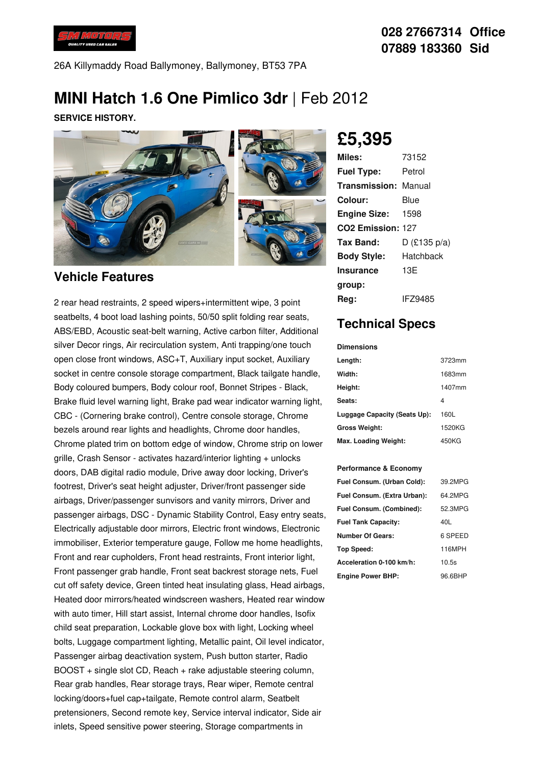

26A Killymaddy Road Ballymoney, Ballymoney, BT53 7PA

# **MINI Hatch 1.6 One Pimlico 3dr** |Feb 2012

**SERVICE HISTORY.**



#### **Vehicle Features**

2 rear head restraints, 2 speed wipers+intermittent wipe, 3 point seatbelts, 4 boot load lashing points, 50/50 split folding rear seats, ABS/EBD, Acoustic seat-belt warning, Active carbon filter, Additional silver Decor rings, Air recirculation system, Anti trapping/one touch open close front windows, ASC+T, Auxiliary input socket, Auxiliary socket in centre console storage compartment, Black tailgate handle, Body coloured bumpers, Body colour roof, Bonnet Stripes - Black, Brake fluid level warning light, Brake pad wear indicator warning light, CBC - (Cornering brake control), Centre console storage, Chrome bezels around rear lights and headlights, Chrome door handles, Chrome plated trim on bottom edge of window, Chrome strip on lower grille, Crash Sensor - activates hazard/interior lighting + unlocks doors, DAB digital radio module, Drive away door locking, Driver's footrest, Driver's seat height adjuster, Driver/front passenger side airbags, Driver/passenger sunvisors and vanity mirrors, Driver and passenger airbags, DSC - Dynamic Stability Control, Easy entry seats, Electrically adjustable door mirrors, Electric front windows, Electronic immobiliser, Exterior temperature gauge, Follow me home headlights, Front and rear cupholders, Front head restraints, Front interior light, Front passenger grab handle, Front seat backrest storage nets, Fuel cut off safety device, Green tinted heat insulating glass, Head airbags, Heated door mirrors/heated windscreen washers, Heated rear window with auto timer. Hill start assist, Internal chrome door handles, Isofix child seat preparation, Lockable glove box with light, Locking wheel bolts, Luggage compartment lighting, Metallic paint, Oil level indicator, Passenger airbag deactivation system, Push button starter, Radio BOOST + single slot CD, Reach + rake adjustable steering column, Rear grab handles, Rear storage trays, Rear wiper, Remote central locking/doors+fuel cap+tailgate, Remote control alarm, Seatbelt pretensioners, Second remote key, Service interval indicator, Side air inlets, Speed sensitive power steering, Storage compartments in

**£5,395**

| Miles:                      | 73152          |
|-----------------------------|----------------|
| <b>Fuel Type:</b>           | Petrol         |
| <b>Transmission: Manual</b> |                |
| Colour:                     | Blue           |
| <b>Engine Size:</b>         | 1598           |
| CO2 Emission: 127           |                |
| Tax Band:                   | $D$ (£135 p/a) |
| <b>Body Style:</b>          | Hatchback      |
| <b>Insurance</b>            | 13E            |
| group:                      |                |
| Rea:                        | IFZ9485        |

### **Technical Specs**

**Dimensions**

| <b>UILIELISIULIS</b>         |        |
|------------------------------|--------|
| Length:                      | 3723mm |
| Width:                       | 1683mm |
| Height:                      | 1407mm |
| Seats:                       | 4      |
| Luggage Capacity (Seats Up): | 160L   |
| <b>Gross Weight:</b>         | 1520KG |
| Max. Loading Weight:         | 450KG  |

#### **Performance & Economy**

| Fuel Consum. (Urban Cold):  | 39.2MPG |
|-----------------------------|---------|
| Fuel Consum. (Extra Urban): | 64.2MPG |
| Fuel Consum. (Combined):    | 52.3MPG |
| <b>Fuel Tank Capacity:</b>  | 40L     |
| <b>Number Of Gears:</b>     | 6 SPEED |
| <b>Top Speed:</b>           | 116MPH  |
| Acceleration 0-100 km/h:    | 10.5s   |
| <b>Engine Power BHP:</b>    | 96.6BHP |